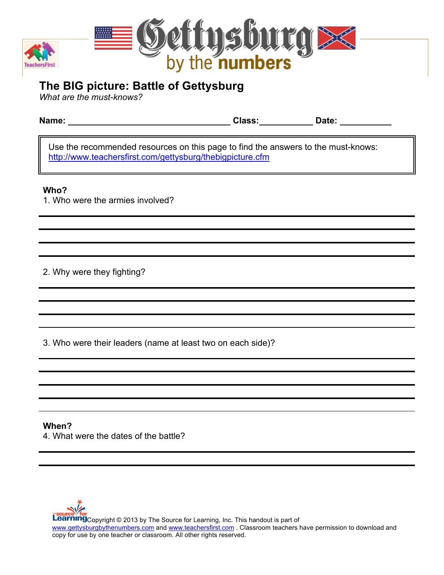



# **The BIG picture: Battle of Gettysburg**

*What are the must-knows?*

| Name: | <b>Class:</b> | .<br>ate: |
|-------|---------------|-----------|
| . .   |               |           |

Use the recommended resources on this page to find the answers to the must-knows: http://www.teachersfirst.com/gettysburg/thebigpicture.cfm

## **Who?**

1. Who were the armies involved?

2. Why were they fighting?

3. Who were their leaders (name at least two on each side)?

# **When?**  4. What were the dates of the battle?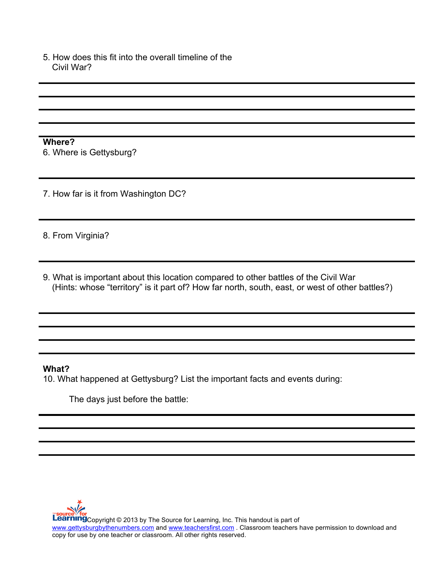5. How does this fit into the overall timeline of the Civil War?

**Where?** 6. Where is Gettysburg?

7. How far is it from Washington DC?

8. From Virginia?

9. What is important about this location compared to other battles of the Civil War (Hints: whose "territory" is it part of? How far north, south, east, or west of other battles?)

#### **What?**

10. What happened at Gettysburg? List the important facts and events during:

The days just before the battle: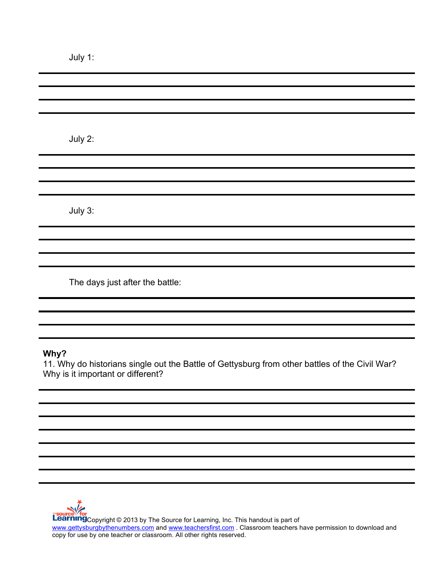|    | U |  |  |
|----|---|--|--|
| u. |   |  |  |

| July 2:                         |
|---------------------------------|
|                                 |
|                                 |
|                                 |
|                                 |
|                                 |
| July 3:                         |
|                                 |
|                                 |
|                                 |
|                                 |
| The days just after the battle: |
|                                 |

## **Why?**

11. Why do historians single out the Battle of Gettysburg from other battles of the Civil War? Why is it important or different?